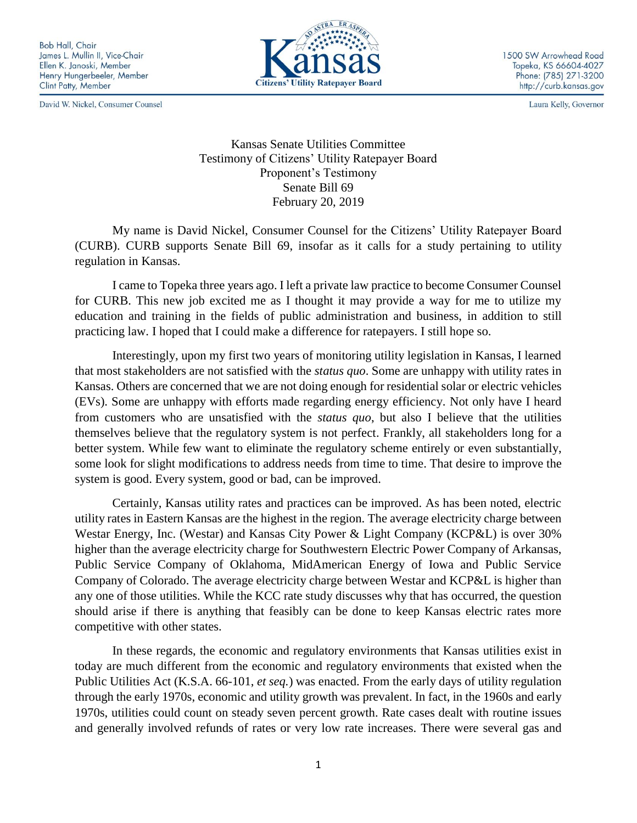**Bob Hall, Chair** James L. Mullin II, Vice-Chair Ellen K. Janoski, Member Henry Hungerbeeler, Member Clint Patty, Member

David W. Nickel, Consumer Counsel



1500 SW Arrowhead Road Topeka, KS 66604-4027 Phone: (785) 271-3200 http://curb.kansas.gov

Laura Kelly, Governor

Kansas Senate Utilities Committee Testimony of Citizens' Utility Ratepayer Board Proponent's Testimony Senate Bill 69 February 20, 2019

My name is David Nickel, Consumer Counsel for the Citizens' Utility Ratepayer Board (CURB). CURB supports Senate Bill 69, insofar as it calls for a study pertaining to utility regulation in Kansas.

I came to Topeka three years ago. I left a private law practice to become Consumer Counsel for CURB. This new job excited me as I thought it may provide a way for me to utilize my education and training in the fields of public administration and business, in addition to still practicing law. I hoped that I could make a difference for ratepayers. I still hope so.

Interestingly, upon my first two years of monitoring utility legislation in Kansas, I learned that most stakeholders are not satisfied with the *status quo*. Some are unhappy with utility rates in Kansas. Others are concerned that we are not doing enough for residential solar or electric vehicles (EVs). Some are unhappy with efforts made regarding energy efficiency. Not only have I heard from customers who are unsatisfied with the *status quo*, but also I believe that the utilities themselves believe that the regulatory system is not perfect. Frankly, all stakeholders long for a better system. While few want to eliminate the regulatory scheme entirely or even substantially, some look for slight modifications to address needs from time to time. That desire to improve the system is good. Every system, good or bad, can be improved.

Certainly, Kansas utility rates and practices can be improved. As has been noted, electric utility rates in Eastern Kansas are the highest in the region. The average electricity charge between Westar Energy, Inc. (Westar) and Kansas City Power & Light Company (KCP&L) is over 30% higher than the average electricity charge for Southwestern Electric Power Company of Arkansas, Public Service Company of Oklahoma, MidAmerican Energy of Iowa and Public Service Company of Colorado. The average electricity charge between Westar and KCP&L is higher than any one of those utilities. While the KCC rate study discusses why that has occurred, the question should arise if there is anything that feasibly can be done to keep Kansas electric rates more competitive with other states.

In these regards, the economic and regulatory environments that Kansas utilities exist in today are much different from the economic and regulatory environments that existed when the Public Utilities Act (K.S.A. 66-101, *et seq.*) was enacted. From the early days of utility regulation through the early 1970s, economic and utility growth was prevalent. In fact, in the 1960s and early 1970s, utilities could count on steady seven percent growth. Rate cases dealt with routine issues and generally involved refunds of rates or very low rate increases. There were several gas and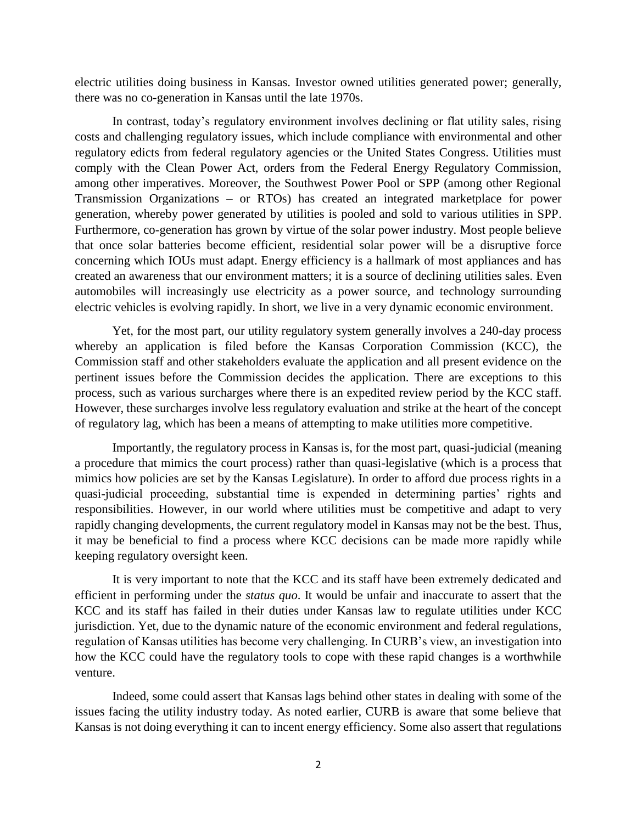electric utilities doing business in Kansas. Investor owned utilities generated power; generally, there was no co-generation in Kansas until the late 1970s.

In contrast, today's regulatory environment involves declining or flat utility sales, rising costs and challenging regulatory issues, which include compliance with environmental and other regulatory edicts from federal regulatory agencies or the United States Congress. Utilities must comply with the Clean Power Act, orders from the Federal Energy Regulatory Commission, among other imperatives. Moreover, the Southwest Power Pool or SPP (among other Regional Transmission Organizations – or RTOs) has created an integrated marketplace for power generation, whereby power generated by utilities is pooled and sold to various utilities in SPP. Furthermore, co-generation has grown by virtue of the solar power industry. Most people believe that once solar batteries become efficient, residential solar power will be a disruptive force concerning which IOUs must adapt. Energy efficiency is a hallmark of most appliances and has created an awareness that our environment matters; it is a source of declining utilities sales. Even automobiles will increasingly use electricity as a power source, and technology surrounding electric vehicles is evolving rapidly. In short, we live in a very dynamic economic environment.

Yet, for the most part, our utility regulatory system generally involves a 240-day process whereby an application is filed before the Kansas Corporation Commission (KCC), the Commission staff and other stakeholders evaluate the application and all present evidence on the pertinent issues before the Commission decides the application. There are exceptions to this process, such as various surcharges where there is an expedited review period by the KCC staff. However, these surcharges involve less regulatory evaluation and strike at the heart of the concept of regulatory lag, which has been a means of attempting to make utilities more competitive.

Importantly, the regulatory process in Kansas is, for the most part, quasi-judicial (meaning a procedure that mimics the court process) rather than quasi-legislative (which is a process that mimics how policies are set by the Kansas Legislature). In order to afford due process rights in a quasi-judicial proceeding, substantial time is expended in determining parties' rights and responsibilities. However, in our world where utilities must be competitive and adapt to very rapidly changing developments, the current regulatory model in Kansas may not be the best. Thus, it may be beneficial to find a process where KCC decisions can be made more rapidly while keeping regulatory oversight keen.

It is very important to note that the KCC and its staff have been extremely dedicated and efficient in performing under the *status quo*. It would be unfair and inaccurate to assert that the KCC and its staff has failed in their duties under Kansas law to regulate utilities under KCC jurisdiction. Yet, due to the dynamic nature of the economic environment and federal regulations, regulation of Kansas utilities has become very challenging. In CURB's view, an investigation into how the KCC could have the regulatory tools to cope with these rapid changes is a worthwhile venture.

Indeed, some could assert that Kansas lags behind other states in dealing with some of the issues facing the utility industry today. As noted earlier, CURB is aware that some believe that Kansas is not doing everything it can to incent energy efficiency. Some also assert that regulations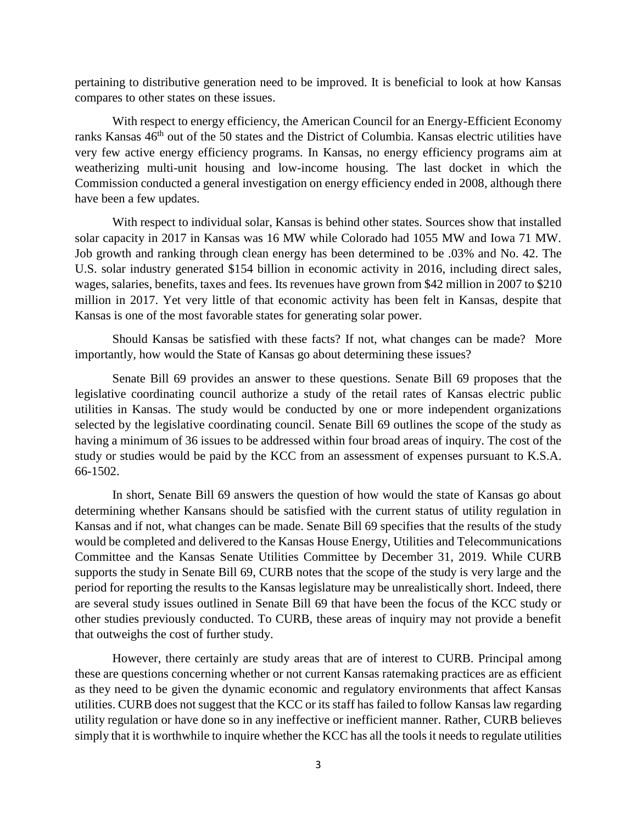pertaining to distributive generation need to be improved. It is beneficial to look at how Kansas compares to other states on these issues.

With respect to energy efficiency, the American Council for an Energy-Efficient Economy ranks Kansas 46<sup>th</sup> out of the 50 states and the District of Columbia. Kansas electric utilities have very few active energy efficiency programs. In Kansas, no energy efficiency programs aim at weatherizing multi-unit housing and low-income housing. The last docket in which the Commission conducted a general investigation on energy efficiency ended in 2008, although there have been a few updates.

With respect to individual solar, Kansas is behind other states. Sources show that installed solar capacity in 2017 in Kansas was 16 MW while Colorado had 1055 MW and Iowa 71 MW. Job growth and ranking through clean energy has been determined to be .03% and No. 42. The U.S. solar industry generated [\\$154 billion in economic activity](http://www.thesolarfoundation.org/wp-content/uploads/2017/04/2016-Census-Economic-Impacts_Final.pdf) in 2016, including direct sales, wages, salaries, benefits, taxes and fees. Its revenues have grown from \$42 million in 2007 to [\\$210](http://www.sme.org/MEMagazine/Article.aspx?id=70996&taxid=1476)  [million](http://www.sme.org/MEMagazine/Article.aspx?id=70996&taxid=1476) in 2017. Yet very little of that economic activity has been felt in Kansas, despite that Kansas is one of the most favorable states for generating solar power.

Should Kansas be satisfied with these facts? If not, what changes can be made? More importantly, how would the State of Kansas go about determining these issues?

Senate Bill 69 provides an answer to these questions. Senate Bill 69 proposes that the legislative coordinating council authorize a study of the retail rates of Kansas electric public utilities in Kansas. The study would be conducted by one or more independent organizations selected by the legislative coordinating council. Senate Bill 69 outlines the scope of the study as having a minimum of 36 issues to be addressed within four broad areas of inquiry. The cost of the study or studies would be paid by the KCC from an assessment of expenses pursuant to K.S.A. 66-1502.

In short, Senate Bill 69 answers the question of how would the state of Kansas go about determining whether Kansans should be satisfied with the current status of utility regulation in Kansas and if not, what changes can be made. Senate Bill 69 specifies that the results of the study would be completed and delivered to the Kansas House Energy, Utilities and Telecommunications Committee and the Kansas Senate Utilities Committee by December 31, 2019. While CURB supports the study in Senate Bill 69, CURB notes that the scope of the study is very large and the period for reporting the results to the Kansas legislature may be unrealistically short. Indeed, there are several study issues outlined in Senate Bill 69 that have been the focus of the KCC study or other studies previously conducted. To CURB, these areas of inquiry may not provide a benefit that outweighs the cost of further study.

However, there certainly are study areas that are of interest to CURB. Principal among these are questions concerning whether or not current Kansas ratemaking practices are as efficient as they need to be given the dynamic economic and regulatory environments that affect Kansas utilities. CURB does not suggest that the KCC or its staff has failed to follow Kansas law regarding utility regulation or have done so in any ineffective or inefficient manner. Rather, CURB believes simply that it is worthwhile to inquire whether the KCC has all the tools it needs to regulate utilities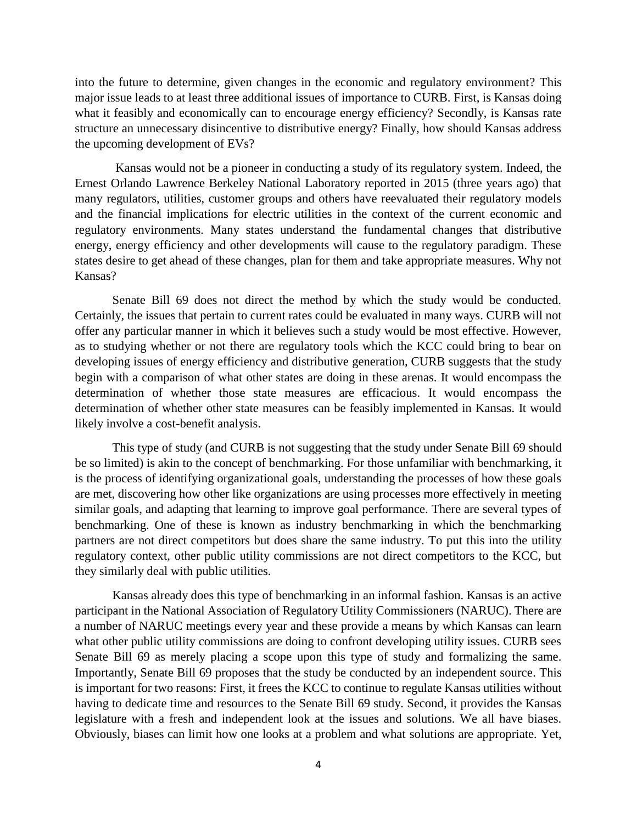into the future to determine, given changes in the economic and regulatory environment? This major issue leads to at least three additional issues of importance to CURB. First, is Kansas doing what it feasibly and economically can to encourage energy efficiency? Secondly, is Kansas rate structure an unnecessary disincentive to distributive energy? Finally, how should Kansas address the upcoming development of EVs?

Kansas would not be a pioneer in conducting a study of its regulatory system. Indeed, the Ernest Orlando Lawrence Berkeley National Laboratory reported in 2015 (three years ago) that many regulators, utilities, customer groups and others have reevaluated their regulatory models and the financial implications for electric utilities in the context of the current economic and regulatory environments. Many states understand the fundamental changes that distributive energy, energy efficiency and other developments will cause to the regulatory paradigm. These states desire to get ahead of these changes, plan for them and take appropriate measures. Why not Kansas?

Senate Bill 69 does not direct the method by which the study would be conducted. Certainly, the issues that pertain to current rates could be evaluated in many ways. CURB will not offer any particular manner in which it believes such a study would be most effective. However, as to studying whether or not there are regulatory tools which the KCC could bring to bear on developing issues of energy efficiency and distributive generation, CURB suggests that the study begin with a comparison of what other states are doing in these arenas. It would encompass the determination of whether those state measures are efficacious. It would encompass the determination of whether other state measures can be feasibly implemented in Kansas. It would likely involve a cost-benefit analysis.

This type of study (and CURB is not suggesting that the study under Senate Bill 69 should be so limited) is akin to the concept of benchmarking. For those unfamiliar with benchmarking, it is the process of identifying organizational goals, understanding the processes of how these goals are met, discovering how other like organizations are using processes more effectively in meeting similar goals, and adapting that learning to improve goal performance. There are several types of benchmarking. One of these is known as industry benchmarking in which the benchmarking partners are not direct competitors but does share the same industry. To put this into the utility regulatory context, other public utility commissions are not direct competitors to the KCC, but they similarly deal with public utilities.

Kansas already does this type of benchmarking in an informal fashion. Kansas is an active participant in the National Association of Regulatory Utility Commissioners (NARUC). There are a number of NARUC meetings every year and these provide a means by which Kansas can learn what other public utility commissions are doing to confront developing utility issues. CURB sees Senate Bill 69 as merely placing a scope upon this type of study and formalizing the same. Importantly, Senate Bill 69 proposes that the study be conducted by an independent source. This is important for two reasons: First, it frees the KCC to continue to regulate Kansas utilities without having to dedicate time and resources to the Senate Bill 69 study. Second, it provides the Kansas legislature with a fresh and independent look at the issues and solutions. We all have biases. Obviously, biases can limit how one looks at a problem and what solutions are appropriate. Yet,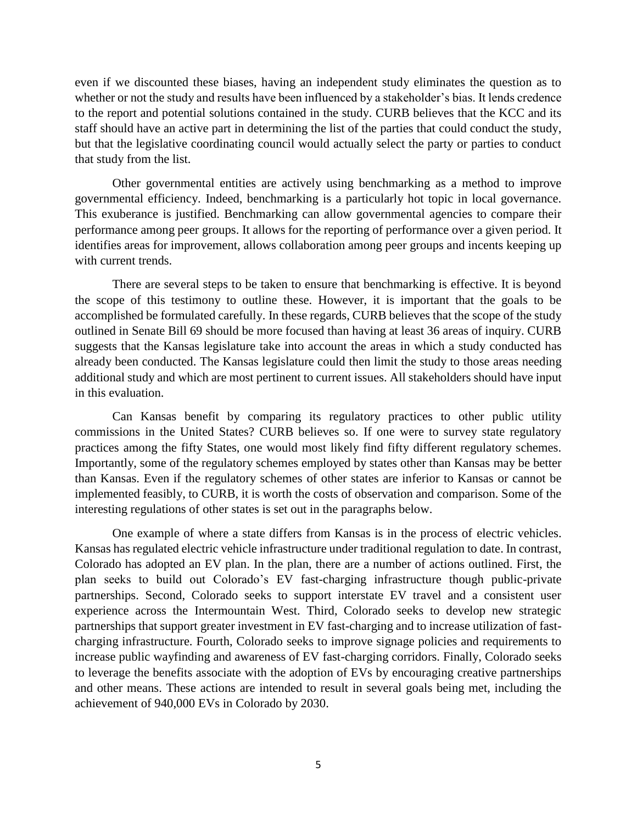even if we discounted these biases, having an independent study eliminates the question as to whether or not the study and results have been influenced by a stakeholder's bias. It lends credence to the report and potential solutions contained in the study. CURB believes that the KCC and its staff should have an active part in determining the list of the parties that could conduct the study, but that the legislative coordinating council would actually select the party or parties to conduct that study from the list.

Other governmental entities are actively using benchmarking as a method to improve governmental efficiency. Indeed, benchmarking is a particularly hot topic in local governance. This exuberance is justified. Benchmarking can allow governmental agencies to compare their performance among peer groups. It allows for the reporting of performance over a given period. It identifies areas for improvement, allows collaboration among peer groups and incents keeping up with current trends.

There are several steps to be taken to ensure that benchmarking is effective. It is beyond the scope of this testimony to outline these. However, it is important that the goals to be accomplished be formulated carefully. In these regards, CURB believes that the scope of the study outlined in Senate Bill 69 should be more focused than having at least 36 areas of inquiry. CURB suggests that the Kansas legislature take into account the areas in which a study conducted has already been conducted. The Kansas legislature could then limit the study to those areas needing additional study and which are most pertinent to current issues. All stakeholders should have input in this evaluation.

Can Kansas benefit by comparing its regulatory practices to other public utility commissions in the United States? CURB believes so. If one were to survey state regulatory practices among the fifty States, one would most likely find fifty different regulatory schemes. Importantly, some of the regulatory schemes employed by states other than Kansas may be better than Kansas. Even if the regulatory schemes of other states are inferior to Kansas or cannot be implemented feasibly, to CURB, it is worth the costs of observation and comparison. Some of the interesting regulations of other states is set out in the paragraphs below.

One example of where a state differs from Kansas is in the process of electric vehicles. Kansas has regulated electric vehicle infrastructure under traditional regulation to date. In contrast, Colorado has adopted an EV plan. In the plan, there are a number of actions outlined. First, the plan seeks to build out Colorado's EV fast-charging infrastructure though public-private partnerships. Second, Colorado seeks to support interstate EV travel and a consistent user experience across the Intermountain West. Third, Colorado seeks to develop new strategic partnerships that support greater investment in EV fast-charging and to increase utilization of fastcharging infrastructure. Fourth, Colorado seeks to improve signage policies and requirements to increase public wayfinding and awareness of EV fast-charging corridors. Finally, Colorado seeks to leverage the benefits associate with the adoption of EVs by encouraging creative partnerships and other means. These actions are intended to result in several goals being met, including the achievement of 940,000 EVs in Colorado by 2030.